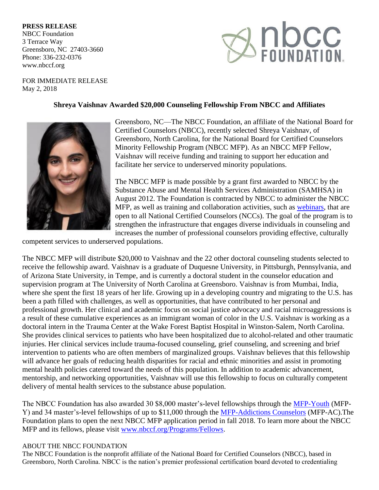## **PRESS RELEASE**

NBCC Foundation 3 Terrace Way Greensboro, NC 27403-3660 Phone: 336-232-0376 www.nbccf.org



FOR IMMEDIATE RELEASE May 2, 2018

## **Shreya Vaishnav Awarded \$20,000 Counseling Fellowship From NBCC and Affiliates**



Greensboro, NC—The NBCC Foundation, an affiliate of the National Board for Certified Counselors (NBCC), recently selected Shreya Vaishnav, of Greensboro, North Carolina, for the National Board for Certified Counselors Minority Fellowship Program (NBCC MFP). As an NBCC MFP Fellow, Vaishnav will receive funding and training to support her education and facilitate her service to underserved minority populations.

The NBCC MFP is made possible by a grant first awarded to NBCC by the Substance Abuse and Mental Health Services Administration (SAMHSA) in August 2012. The Foundation is contracted by NBCC to administer the NBCC MFP, as well as training and collaboration activities, such as [webinars,](http://www.nbccf.org/Webinars) that are open to all National Certified Counselors (NCCs). The goal of the program is to strengthen the infrastructure that engages diverse individuals in counseling and increases the number of professional counselors providing effective, culturally

competent services to underserved populations.

The NBCC MFP will distribute \$20,000 to Vaishnav and the 22 other doctoral counseling students selected to receive the fellowship award. Vaishnav is a graduate of Duquesne University, in Pittsburgh, Pennsylvania, and of Arizona State University, in Tempe, and is currently a doctoral student in the counselor education and supervision program at The University of North Carolina at Greensboro. Vaishnav is from Mumbai, India, where she spent the first 18 years of her life. Growing up in a developing country and migrating to the U.S. has been a path filled with challenges, as well as opportunities, that have contributed to her personal and professional growth. Her clinical and academic focus on social justice advocacy and racial microaggressions is a result of these cumulative experiences as an immigrant woman of color in the U.S. Vaishnav is working as a doctoral intern in the Trauma Center at the Wake Forest Baptist Hospital in Winston-Salem, North Carolina. She provides clinical services to patients who have been hospitalized due to alcohol-related and other traumatic injuries. Her clinical services include trauma-focused counseling, grief counseling, and screening and brief intervention to patients who are often members of marginalized groups. Vaishnav believes that this fellowship will advance her goals of reducing health disparities for racial and ethnic minorities and assist in promoting mental health policies catered toward the needs of this population. In addition to academic advancement, mentorship, and networking opportunities, Vaishnav will use this fellowship to focus on culturally competent delivery of mental health services to the substance abuse population.

The NBCC Foundation has also awarded 30 \$8,000 master's-level fellowships through the [MFP-Youth](http://www.nbccf.org/Assets/NewsLetters/2018.MFPY.Fellowships.pdf) (MFP-Y) and 34 master's-level fellowships of up to \$11,000 through the [MFP-Addictions Counselors](http://www.nbccf.org/Assets/NewsLetters/2018.MFPAC.Fellowships.pdf) (MFP-AC). The Foundation plans to open the next NBCC MFP application period in fall 2018. To learn more about the NBCC MFP and its fellows, please visit [www.nbccf.org/Programs/Fellows.](http://www.nbccf.org/Programs/Fellows)

## ABOUT THE NBCC FOUNDATION

The NBCC Foundation is the nonprofit affiliate of the National Board for Certified Counselors (NBCC), based in Greensboro, North Carolina. NBCC is the nation's premier professional certification board devoted to credentialing